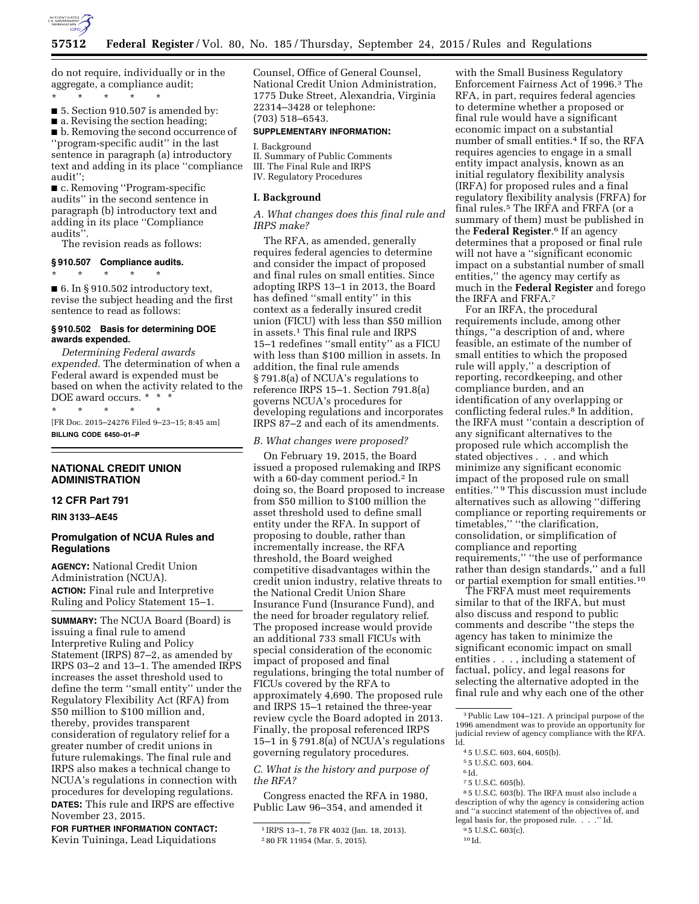

do not require, individually or in the aggregate, a compliance audit; \* \* \* \* \*

■ 5. Section 910.507 is amended by:

■ a. Revising the section heading; ■ b. Removing the second occurrence of ''program-specific audit'' in the last sentence in paragraph (a) introductory text and adding in its place ''compliance

audit''; ■ c. Removing "Program-specific audits'' in the second sentence in paragraph (b) introductory text and adding in its place ''Compliance

audits''. The revision reads as follows:

**§ 910.507 Compliance audits.** 

\* \* \* \* \* ■ 6. In § 910.502 introductory text, revise the subject heading and the first sentence to read as follows:

### **§ 910.502 Basis for determining DOE awards expended.**

*Determining Federal awards expended.* The determination of when a Federal award is expended must be based on when the activity related to the DOE award occurs. \* \* \*

\* \* \* \* \* [FR Doc. 2015–24276 Filed 9–23–15; 8:45 am] **BILLING CODE 6450–01–P** 

# **NATIONAL CREDIT UNION ADMINISTRATION**

# **12 CFR Part 791**

**RIN 3133–AE45** 

# **Promulgation of NCUA Rules and Regulations**

**AGENCY:** National Credit Union Administration (NCUA). **ACTION:** Final rule and Interpretive Ruling and Policy Statement 15–1.

**SUMMARY:** The NCUA Board (Board) is issuing a final rule to amend Interpretive Ruling and Policy Statement (IRPS) 87–2, as amended by IRPS 03–2 and 13–1. The amended IRPS increases the asset threshold used to define the term ''small entity'' under the Regulatory Flexibility Act (RFA) from \$50 million to \$100 million and, thereby, provides transparent consideration of regulatory relief for a greater number of credit unions in future rulemakings. The final rule and IRPS also makes a technical change to NCUA's regulations in connection with procedures for developing regulations. **DATES:** This rule and IRPS are effective November 23, 2015.

**FOR FURTHER INFORMATION CONTACT:**  Kevin Tuininga, Lead Liquidations

Counsel, Office of General Counsel, National Credit Union Administration, 1775 Duke Street, Alexandria, Virginia 22314–3428 or telephone: (703) 518–6543.

# **SUPPLEMENTARY INFORMATION:**

I. Background II. Summary of Public Comments III. The Final Rule and IRPS IV. Regulatory Procedures

#### **I. Background**

*A. What changes does this final rule and IRPS make?* 

The RFA, as amended, generally requires federal agencies to determine and consider the impact of proposed and final rules on small entities. Since adopting IRPS 13–1 in 2013, the Board has defined ''small entity'' in this context as a federally insured credit union (FICU) with less than \$50 million in assets.1 This final rule and IRPS 15–1 redefines ''small entity'' as a FICU with less than \$100 million in assets. In addition, the final rule amends § 791.8(a) of NCUA's regulations to reference IRPS 15–1. Section 791.8(a) governs NCUA's procedures for developing regulations and incorporates IRPS 87–2 and each of its amendments.

#### *B. What changes were proposed?*

On February 19, 2015, the Board issued a proposed rulemaking and IRPS with a 60-day comment period.2 In doing so, the Board proposed to increase from \$50 million to \$100 million the asset threshold used to define small entity under the RFA. In support of proposing to double, rather than incrementally increase, the RFA threshold, the Board weighed competitive disadvantages within the credit union industry, relative threats to the National Credit Union Share Insurance Fund (Insurance Fund), and the need for broader regulatory relief. The proposed increase would provide an additional 733 small FICUs with special consideration of the economic impact of proposed and final regulations, bringing the total number of FICUs covered by the RFA to approximately 4,690. The proposed rule and IRPS 15–1 retained the three-year review cycle the Board adopted in 2013. Finally, the proposal referenced IRPS 15–1 in § 791.8(a) of NCUA's regulations governing regulatory procedures.

*C. What is the history and purpose of the RFA?* 

Congress enacted the RFA in 1980, Public Law 96–354, and amended it

with the Small Business Regulatory Enforcement Fairness Act of 1996.3 The RFA, in part, requires federal agencies to determine whether a proposed or final rule would have a significant economic impact on a substantial number of small entities.<sup>4</sup> If so, the RFA requires agencies to engage in a small entity impact analysis, known as an initial regulatory flexibility analysis (IRFA) for proposed rules and a final regulatory flexibility analysis (FRFA) for final rules.5 The IRFA and FRFA (or a summary of them) must be published in the **Federal Register**.6 If an agency determines that a proposed or final rule will not have a ''significant economic impact on a substantial number of small entities,'' the agency may certify as much in the **Federal Register** and forego the IRFA and FRFA.7

For an IRFA, the procedural requirements include, among other things, ''a description of and, where feasible, an estimate of the number of small entities to which the proposed rule will apply,'' a description of reporting, recordkeeping, and other compliance burden, and an identification of any overlapping or conflicting federal rules.8 In addition, the IRFA must ''contain a description of any significant alternatives to the proposed rule which accomplish the stated objectives . . . and which minimize any significant economic impact of the proposed rule on small entities." <sup>9</sup> This discussion must include alternatives such as allowing ''differing compliance or reporting requirements or timetables,'' ''the clarification, consolidation, or simplification of compliance and reporting requirements,'' ''the use of performance rather than design standards,'' and a full or partial exemption for small entities.10

The FRFA must meet requirements similar to that of the IRFA, but must also discuss and respond to public comments and describe ''the steps the agency has taken to minimize the significant economic impact on small entities . . . , including a statement of factual, policy, and legal reasons for selecting the alternative adopted in the final rule and why each one of the other

- 6 Id.
- 7 5 U.S.C. 605(b).

10 Id.

<sup>1</sup> IRPS 13–1, 78 FR 4032 (Jan. 18, 2013). 2 80 FR 11954 (Mar. 5, 2015).

<sup>3</sup>Public Law 104–121. A principal purpose of the 1996 amendment was to provide an opportunity for judicial review of agency compliance with the RFA. Id.

<sup>4</sup> 5 U.S.C. 603, 604, 605(b).

<sup>5</sup> 5 U.S.C. 603, 604.

<sup>8</sup> 5 U.S.C. 603(b). The IRFA must also include a description of why the agency is considering action and ''a succinct statement of the objectives of, and legal basis for, the proposed rule. . . . "Id.

<sup>&</sup>lt;sup>9</sup> 5 U.S.C. 603(c).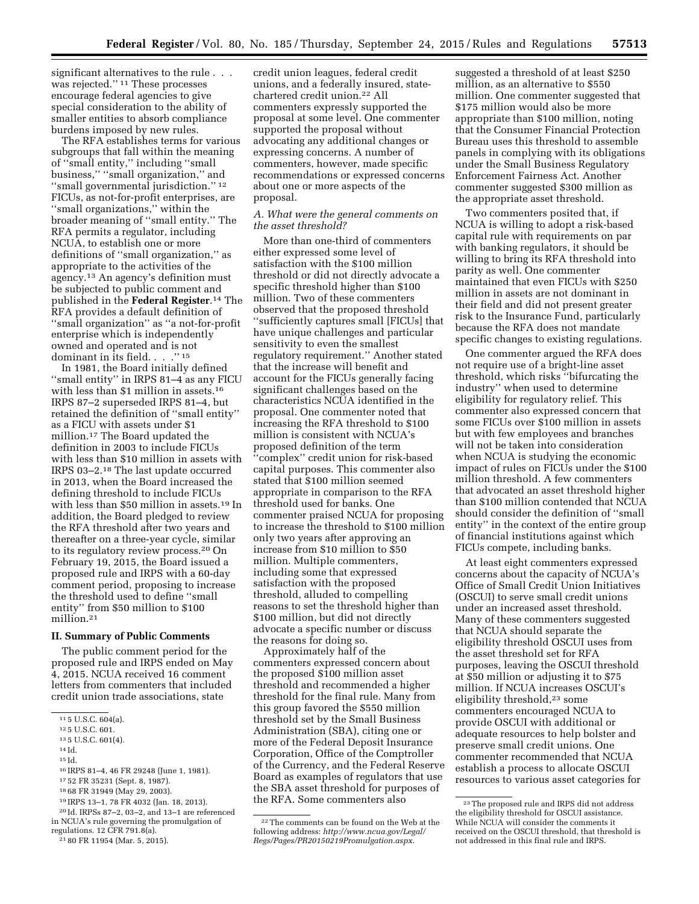significant alternatives to the rule . . . was rejected.'' 11 These processes encourage federal agencies to give special consideration to the ability of smaller entities to absorb compliance burdens imposed by new rules.

The RFA establishes terms for various subgroups that fall within the meaning of ''small entity,'' including ''small business,'' ''small organization,'' and ''small governmental jurisdiction.'' 12 FICUs, as not-for-profit enterprises, are ''small organizations,'' within the broader meaning of ''small entity.'' The RFA permits a regulator, including NCUA, to establish one or more definitions of ''small organization,'' as appropriate to the activities of the agency.13 An agency's definition must be subjected to public comment and published in the **Federal Register**.14 The RFA provides a default definition of ''small organization'' as ''a not-for-profit enterprise which is independently owned and operated and is not dominant in its field. . . . "<sup>15</sup>

In 1981, the Board initially defined ''small entity'' in IRPS 81–4 as any FICU with less than \$1 million in assets.<sup>16</sup> IRPS 87–2 superseded IRPS 81–4, but retained the definition of ''small entity'' as a FICU with assets under \$1 million.17 The Board updated the definition in 2003 to include FICUs with less than \$10 million in assets with IRPS 03–2.18 The last update occurred in 2013, when the Board increased the defining threshold to include FICUs with less than \$50 million in assets.<sup>19</sup> In addition, the Board pledged to review the RFA threshold after two years and thereafter on a three-year cycle, similar to its regulatory review process.20 On February 19, 2015, the Board issued a proposed rule and IRPS with a 60-day comment period, proposing to increase the threshold used to define ''small entity'' from \$50 million to \$100 million.21

#### **II. Summary of Public Comments**

The public comment period for the proposed rule and IRPS ended on May 4, 2015. NCUA received 16 comment letters from commenters that included credit union trade associations, state

14 Id.

credit union leagues, federal credit unions, and a federally insured, statechartered credit union.22 All commenters expressly supported the proposal at some level. One commenter supported the proposal without advocating any additional changes or expressing concerns. A number of commenters, however, made specific recommendations or expressed concerns about one or more aspects of the proposal.

# *A. What were the general comments on the asset threshold?*

More than one-third of commenters either expressed some level of satisfaction with the \$100 million threshold or did not directly advocate a specific threshold higher than \$100 million. Two of these commenters observed that the proposed threshold ''sufficiently captures small [FICUs] that have unique challenges and particular sensitivity to even the smallest regulatory requirement.'' Another stated that the increase will benefit and account for the FICUs generally facing significant challenges based on the characteristics NCUA identified in the proposal. One commenter noted that increasing the RFA threshold to \$100 million is consistent with NCUA's proposed definition of the term 'complex'' credit union for risk-based capital purposes. This commenter also stated that \$100 million seemed appropriate in comparison to the RFA threshold used for banks. One commenter praised NCUA for proposing to increase the threshold to \$100 million only two years after approving an increase from \$10 million to \$50 million. Multiple commenters, including some that expressed satisfaction with the proposed threshold, alluded to compelling reasons to set the threshold higher than \$100 million, but did not directly advocate a specific number or discuss the reasons for doing so.

Approximately half of the commenters expressed concern about the proposed \$100 million asset threshold and recommended a higher threshold for the final rule. Many from this group favored the \$550 million threshold set by the Small Business Administration (SBA), citing one or more of the Federal Deposit Insurance Corporation, Office of the Comptroller of the Currency, and the Federal Reserve Board as examples of regulators that use the SBA asset threshold for purposes of the RFA. Some commenters also

suggested a threshold of at least \$250 million, as an alternative to \$550 million. One commenter suggested that \$175 million would also be more appropriate than \$100 million, noting that the Consumer Financial Protection Bureau uses this threshold to assemble panels in complying with its obligations under the Small Business Regulatory Enforcement Fairness Act. Another commenter suggested \$300 million as the appropriate asset threshold.

Two commenters posited that, if NCUA is willing to adopt a risk-based capital rule with requirements on par with banking regulators, it should be willing to bring its RFA threshold into parity as well. One commenter maintained that even FICUs with \$250 million in assets are not dominant in their field and did not present greater risk to the Insurance Fund, particularly because the RFA does not mandate specific changes to existing regulations.

One commenter argued the RFA does not require use of a bright-line asset threshold, which risks ''bifurcating the industry'' when used to determine eligibility for regulatory relief. This commenter also expressed concern that some FICUs over \$100 million in assets but with few employees and branches will not be taken into consideration when NCUA is studying the economic impact of rules on FICUs under the \$100 million threshold. A few commenters that advocated an asset threshold higher than \$100 million contended that NCUA should consider the definition of ''small entity'' in the context of the entire group of financial institutions against which FICUs compete, including banks.

At least eight commenters expressed concerns about the capacity of NCUA's Office of Small Credit Union Initiatives (OSCUI) to serve small credit unions under an increased asset threshold. Many of these commenters suggested that NCUA should separate the eligibility threshold OSCUI uses from the asset threshold set for RFA purposes, leaving the OSCUI threshold at \$50 million or adjusting it to \$75 million. If NCUA increases OSCUI's eligibility threshold,23 some commenters encouraged NCUA to provide OSCUI with additional or adequate resources to help bolster and preserve small credit unions. One commenter recommended that NCUA establish a process to allocate OSCUI resources to various asset categories for

<sup>11</sup> 5 U.S.C. 604(a).

<sup>12</sup> 5 U.S.C. 601.

<sup>13</sup> 5 U.S.C. 601(4).

<sup>15</sup> Id.

<sup>16</sup> IRPS 81–4, 46 FR 29248 (June 1, 1981).

<sup>17</sup> 52 FR 35231 (Sept. 8, 1987). 18 68 FR 31949 (May 29, 2003).

<sup>19</sup> IRPS 13–1, 78 FR 4032 (Jan. 18, 2013).

<sup>20</sup> Id. IRPSs 87–2, 03–2, and 13–1 are referenced in NCUA's rule governing the promulgation of regulations. 12 CFR 791.8(a).

<sup>21</sup> 80 FR 11954 (Mar. 5, 2015).

<sup>22</sup>The comments can be found on the Web at the following address: *[http://www.ncua.gov/Legal/](http://www.ncua.gov/Legal/Regs/Pages/PR20150219Promulgation.aspx) [Regs/Pages/PR20150219Promulgation.aspx.](http://www.ncua.gov/Legal/Regs/Pages/PR20150219Promulgation.aspx)* 

<sup>23</sup>The proposed rule and IRPS did not address the eligibility threshold for OSCUI assistance. While NCUA will consider the comments it received on the OSCUI threshold, that threshold is not addressed in this final rule and IRPS.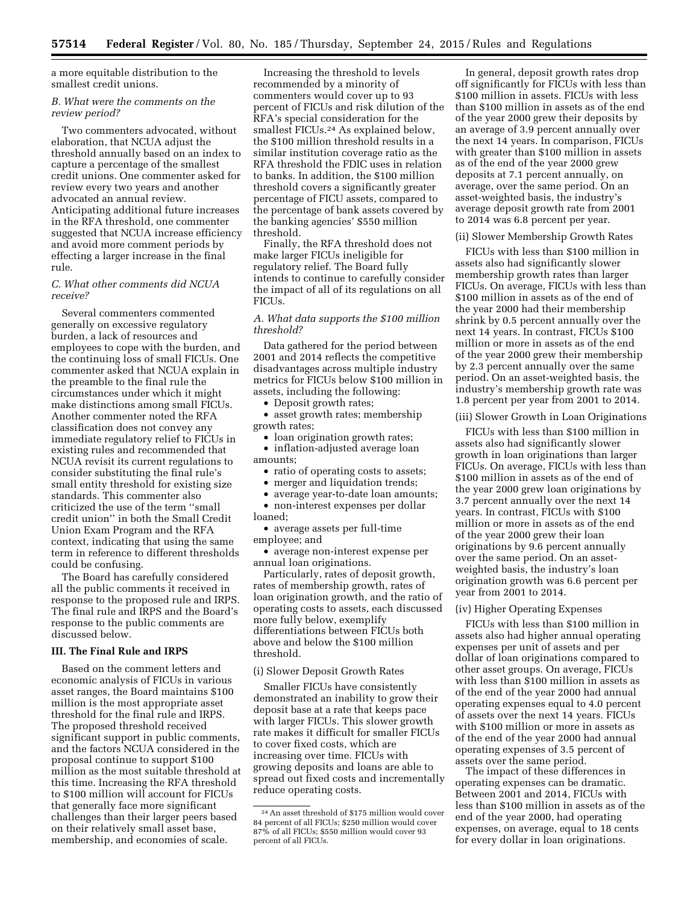a more equitable distribution to the smallest credit unions.

### *B. What were the comments on the review period?*

Two commenters advocated, without elaboration, that NCUA adjust the threshold annually based on an index to capture a percentage of the smallest credit unions. One commenter asked for review every two years and another advocated an annual review. Anticipating additional future increases in the RFA threshold, one commenter suggested that NCUA increase efficiency and avoid more comment periods by effecting a larger increase in the final rule.

# *C. What other comments did NCUA receive?*

Several commenters commented generally on excessive regulatory burden, a lack of resources and employees to cope with the burden, and the continuing loss of small FICUs. One commenter asked that NCUA explain in the preamble to the final rule the circumstances under which it might make distinctions among small FICUs. Another commenter noted the RFA classification does not convey any immediate regulatory relief to FICUs in existing rules and recommended that NCUA revisit its current regulations to consider substituting the final rule's small entity threshold for existing size standards. This commenter also criticized the use of the term ''small credit union'' in both the Small Credit Union Exam Program and the RFA context, indicating that using the same term in reference to different thresholds could be confusing.

The Board has carefully considered all the public comments it received in response to the proposed rule and IRPS. The final rule and IRPS and the Board's response to the public comments are discussed below.

# **III. The Final Rule and IRPS**

Based on the comment letters and economic analysis of FICUs in various asset ranges, the Board maintains \$100 million is the most appropriate asset threshold for the final rule and IRPS. The proposed threshold received significant support in public comments, and the factors NCUA considered in the proposal continue to support \$100 million as the most suitable threshold at this time. Increasing the RFA threshold to \$100 million will account for FICUs that generally face more significant challenges than their larger peers based on their relatively small asset base, membership, and economies of scale.

Increasing the threshold to levels recommended by a minority of commenters would cover up to 93 percent of FICUs and risk dilution of the RFA's special consideration for the smallest FICUs.24 As explained below, the \$100 million threshold results in a similar institution coverage ratio as the RFA threshold the FDIC uses in relation to banks. In addition, the \$100 million threshold covers a significantly greater percentage of FICU assets, compared to the percentage of bank assets covered by the banking agencies' \$550 million threshold.

Finally, the RFA threshold does not make larger FICUs ineligible for regulatory relief. The Board fully intends to continue to carefully consider the impact of all of its regulations on all FICUs.

# *A. What data supports the \$100 million threshold?*

Data gathered for the period between 2001 and 2014 reflects the competitive disadvantages across multiple industry metrics for FICUs below \$100 million in assets, including the following:

• Deposit growth rates;

• asset growth rates; membership growth rates;

• loan origination growth rates;

• inflation-adjusted average loan amounts;

- ratio of operating costs to assets;
- merger and liquidation trends;

• average year-to-date loan amounts; • non-interest expenses per dollar loaned;

• average assets per full-time employee; and

• average non-interest expense per annual loan originations.

Particularly, rates of deposit growth, rates of membership growth, rates of loan origination growth, and the ratio of operating costs to assets, each discussed more fully below, exemplify differentiations between FICUs both above and below the \$100 million threshold.

### (i) Slower Deposit Growth Rates

Smaller FICUs have consistently demonstrated an inability to grow their deposit base at a rate that keeps pace with larger FICUs. This slower growth rate makes it difficult for smaller FICUs to cover fixed costs, which are increasing over time. FICUs with growing deposits and loans are able to spread out fixed costs and incrementally reduce operating costs.

In general, deposit growth rates drop off significantly for FICUs with less than \$100 million in assets. FICUs with less than \$100 million in assets as of the end of the year 2000 grew their deposits by an average of 3.9 percent annually over the next 14 years. In comparison, FICUs with greater than \$100 million in assets as of the end of the year 2000 grew deposits at 7.1 percent annually, on average, over the same period. On an asset-weighted basis, the industry's average deposit growth rate from 2001 to 2014 was 6.8 percent per year.

### (ii) Slower Membership Growth Rates

FICUs with less than \$100 million in assets also had significantly slower membership growth rates than larger FICUs. On average, FICUs with less than \$100 million in assets as of the end of the year 2000 had their membership shrink by 0.5 percent annually over the next 14 years. In contrast, FICUs \$100 million or more in assets as of the end of the year 2000 grew their membership by 2.3 percent annually over the same period. On an asset-weighted basis, the industry's membership growth rate was 1.8 percent per year from 2001 to 2014.

#### (iii) Slower Growth in Loan Originations

FICUs with less than \$100 million in assets also had significantly slower growth in loan originations than larger FICUs. On average, FICUs with less than \$100 million in assets as of the end of the year 2000 grew loan originations by 3.7 percent annually over the next 14 years. In contrast, FICUs with \$100 million or more in assets as of the end of the year 2000 grew their loan originations by 9.6 percent annually over the same period. On an assetweighted basis, the industry's loan origination growth was 6.6 percent per year from 2001 to 2014.

### (iv) Higher Operating Expenses

FICUs with less than \$100 million in assets also had higher annual operating expenses per unit of assets and per dollar of loan originations compared to other asset groups. On average, FICUs with less than \$100 million in assets as of the end of the year 2000 had annual operating expenses equal to 4.0 percent of assets over the next 14 years. FICUs with \$100 million or more in assets as of the end of the year 2000 had annual operating expenses of 3.5 percent of assets over the same period.

The impact of these differences in operating expenses can be dramatic. Between 2001 and 2014, FICUs with less than \$100 million in assets as of the end of the year 2000, had operating expenses, on average, equal to 18 cents for every dollar in loan originations.

<sup>24</sup>An asset threshold of \$175 million would cover 84 percent of all FICUs; \$250 million would cover 87% of all FICUs; \$550 million would cover 93 percent of all FICUs.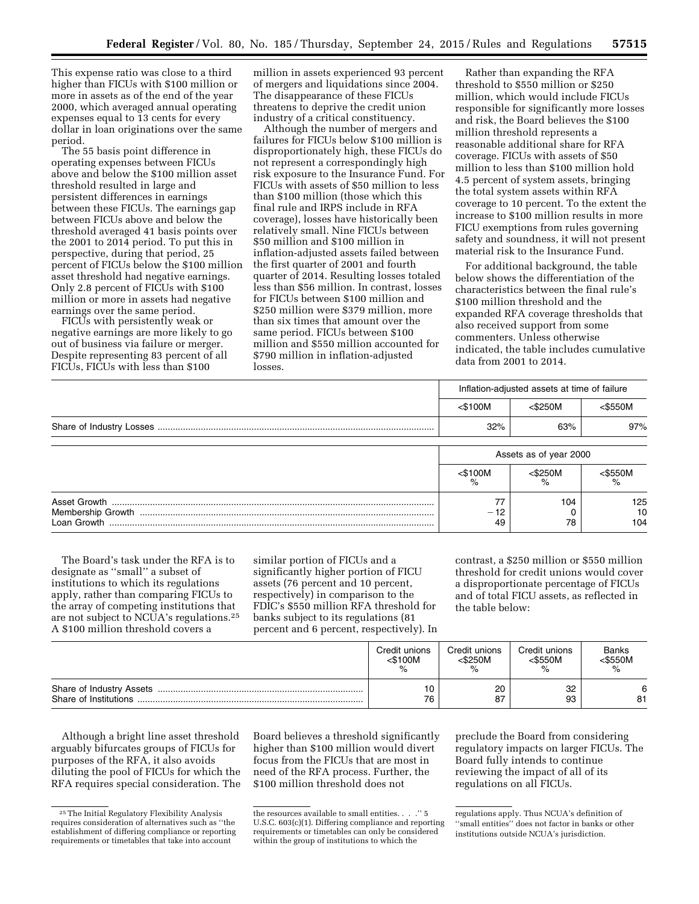This expense ratio was close to a third higher than FICUs with \$100 million or more in assets as of the end of the year 2000, which averaged annual operating expenses equal to 13 cents for every dollar in loan originations over the same period.

The 55 basis point difference in operating expenses between FICUs above and below the \$100 million asset threshold resulted in large and persistent differences in earnings between these FICUs. The earnings gap between FICUs above and below the threshold averaged 41 basis points over the 2001 to 2014 period. To put this in perspective, during that period, 25 percent of FICUs below the \$100 million asset threshold had negative earnings. Only 2.8 percent of FICUs with \$100 million or more in assets had negative earnings over the same period.

FICUs with persistently weak or negative earnings are more likely to go out of business via failure or merger. Despite representing 83 percent of all FICUs, FICUs with less than \$100

million in assets experienced 93 percent of mergers and liquidations since 2004. The disappearance of these FICUs threatens to deprive the credit union industry of a critical constituency.

Although the number of mergers and failures for FICUs below \$100 million is disproportionately high, these FICUs do not represent a correspondingly high risk exposure to the Insurance Fund. For FICUs with assets of \$50 million to less than \$100 million (those which this final rule and IRPS include in RFA coverage), losses have historically been relatively small. Nine FICUs between \$50 million and \$100 million in inflation-adjusted assets failed between the first quarter of 2001 and fourth quarter of 2014. Resulting losses totaled less than \$56 million. In contrast, losses for FICUs between \$100 million and \$250 million were \$379 million, more than six times that amount over the same period. FICUs between \$100 million and \$550 million accounted for \$790 million in inflation-adjusted losses.

Rather than expanding the RFA threshold to \$550 million or \$250 million, which would include FICUs responsible for significantly more losses and risk, the Board believes the \$100 million threshold represents a reasonable additional share for RFA coverage. FICUs with assets of \$50 million to less than \$100 million hold 4.5 percent of system assets, bringing the total system assets within RFA coverage to 10 percent. To the extent the increase to \$100 million results in more FICU exemptions from rules governing safety and soundness, it will not present material risk to the Insurance Fund.

For additional background, the table below shows the differentiation of the characteristics between the final rule's \$100 million threshold and the expanded RFA coverage thresholds that also received support from some commenters. Unless otherwise indicated, the table includes cumulative data from 2001 to 2014.

|             | Inflation-adjusted assets at time of failure |                    |                  |
|-------------|----------------------------------------------|--------------------|------------------|
|             | $<$ \$100M                                   | <\$250M            | $<$ \$550M       |
|             | 32%                                          | 63%                | 97%              |
|             | Assets as of year 2000                       |                    |                  |
|             | $<$ \$100M                                   | $<$ \$250M<br>$\%$ | $<$ \$550M       |
| Loan Growth | 77<br>- 12<br>49                             | 104<br>78          | 125<br>10<br>104 |

The Board's task under the RFA is to designate as ''small'' a subset of institutions to which its regulations apply, rather than comparing FICUs to the array of competing institutions that are not subject to NCUA's regulations.25 A \$100 million threshold covers a

similar portion of FICUs and a significantly higher portion of FICU assets (76 percent and 10 percent, respectively) in comparison to the FDIC's \$550 million RFA threshold for banks subject to its regulations (81 percent and 6 percent, respectively). In

contrast, a \$250 million or \$550 million threshold for credit unions would cover a disproportionate percentage of FICUs and of total FICU assets, as reflected in the table below:

|                       | Credit unions<br><\$100M<br>% | Credit unions<br><\$250M<br>$\%$ | Credit unions<br>$<$ \$550M<br>% | Banks<br><\$550M |
|-----------------------|-------------------------------|----------------------------------|----------------------------------|------------------|
| Share of Institutions | 10<br>76                      | 20<br>87                         | 32<br>93                         | 6<br>81          |

Although a bright line asset threshold arguably bifurcates groups of FICUs for purposes of the RFA, it also avoids diluting the pool of FICUs for which the RFA requires special consideration. The

Board believes a threshold significantly higher than \$100 million would divert focus from the FICUs that are most in need of the RFA process. Further, the \$100 million threshold does not

preclude the Board from considering regulatory impacts on larger FICUs. The Board fully intends to continue reviewing the impact of all of its regulations on all FICUs.

<sup>25</sup>The Initial Regulatory Flexibility Analysis requires consideration of alternatives such as ''the establishment of differing compliance or reporting requirements or timetables that take into account

the resources available to small entities. . . .'' 5 U.S.C. 603(c)(1). Differing compliance and reporting requirements or timetables can only be considered within the group of institutions to which the

regulations apply. Thus NCUA's definition of ''small entities'' does not factor in banks or other institutions outside NCUA's jurisdiction.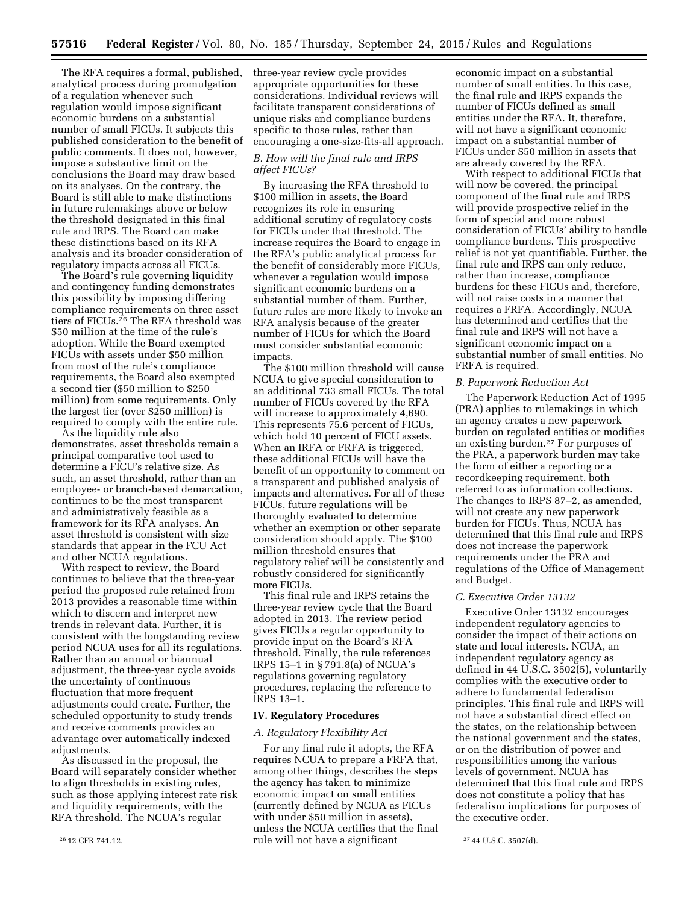The RFA requires a formal, published, analytical process during promulgation of a regulation whenever such regulation would impose significant economic burdens on a substantial number of small FICUs. It subjects this published consideration to the benefit of public comments. It does not, however, impose a substantive limit on the conclusions the Board may draw based on its analyses. On the contrary, the Board is still able to make distinctions in future rulemakings above or below the threshold designated in this final rule and IRPS. The Board can make these distinctions based on its RFA analysis and its broader consideration of regulatory impacts across all FICUs.

The Board's rule governing liquidity and contingency funding demonstrates this possibility by imposing differing compliance requirements on three asset tiers of FICUs.26 The RFA threshold was \$50 million at the time of the rule's adoption. While the Board exempted FICUs with assets under \$50 million from most of the rule's compliance requirements, the Board also exempted a second tier (\$50 million to \$250 million) from some requirements. Only the largest tier (over \$250 million) is required to comply with the entire rule.

As the liquidity rule also demonstrates, asset thresholds remain a principal comparative tool used to determine a FICU's relative size. As such, an asset threshold, rather than an employee- or branch-based demarcation, continues to be the most transparent and administratively feasible as a framework for its RFA analyses. An asset threshold is consistent with size standards that appear in the FCU Act and other NCUA regulations.

With respect to review, the Board continues to believe that the three-year period the proposed rule retained from 2013 provides a reasonable time within which to discern and interpret new trends in relevant data. Further, it is consistent with the longstanding review period NCUA uses for all its regulations. Rather than an annual or biannual adjustment, the three-year cycle avoids the uncertainty of continuous fluctuation that more frequent adjustments could create. Further, the scheduled opportunity to study trends and receive comments provides an advantage over automatically indexed adjustments.

As discussed in the proposal, the Board will separately consider whether to align thresholds in existing rules, such as those applying interest rate risk and liquidity requirements, with the RFA threshold. The NCUA's regular

three-year review cycle provides appropriate opportunities for these considerations. Individual reviews will facilitate transparent considerations of unique risks and compliance burdens specific to those rules, rather than encouraging a one-size-fits-all approach.

# *B. How will the final rule and IRPS affect FICUs?*

By increasing the RFA threshold to \$100 million in assets, the Board recognizes its role in ensuring additional scrutiny of regulatory costs for FICUs under that threshold. The increase requires the Board to engage in the RFA's public analytical process for the benefit of considerably more FICUs, whenever a regulation would impose significant economic burdens on a substantial number of them. Further, future rules are more likely to invoke an RFA analysis because of the greater number of FICUs for which the Board must consider substantial economic impacts.

The \$100 million threshold will cause NCUA to give special consideration to an additional 733 small FICUs. The total number of FICUs covered by the RFA will increase to approximately 4,690. This represents 75.6 percent of FICUs, which hold 10 percent of FICU assets. When an IRFA or FRFA is triggered, these additional FICUs will have the benefit of an opportunity to comment on a transparent and published analysis of impacts and alternatives. For all of these FICUs, future regulations will be thoroughly evaluated to determine whether an exemption or other separate consideration should apply. The \$100 million threshold ensures that regulatory relief will be consistently and robustly considered for significantly more FICUs.

This final rule and IRPS retains the three-year review cycle that the Board adopted in 2013. The review period gives FICUs a regular opportunity to provide input on the Board's RFA threshold. Finally, the rule references IRPS 15–1 in § 791.8(a) of NCUA's regulations governing regulatory procedures, replacing the reference to IRPS 13–1.

### **IV. Regulatory Procedures**

# *A. Regulatory Flexibility Act*

 $26\,12$  CFR 741.12. The will not have a significant  $27\,44$  U.S.C. 3507(d). For any final rule it adopts, the RFA requires NCUA to prepare a FRFA that, among other things, describes the steps the agency has taken to minimize economic impact on small entities (currently defined by NCUA as FICUs with under \$50 million in assets), unless the NCUA certifies that the final

economic impact on a substantial number of small entities. In this case, the final rule and IRPS expands the number of FICUs defined as small entities under the RFA. It, therefore, will not have a significant economic impact on a substantial number of FICUs under \$50 million in assets that are already covered by the RFA.

With respect to additional FICUs that will now be covered, the principal component of the final rule and IRPS will provide prospective relief in the form of special and more robust consideration of FICUs' ability to handle compliance burdens. This prospective relief is not yet quantifiable. Further, the final rule and IRPS can only reduce, rather than increase, compliance burdens for these FICUs and, therefore, will not raise costs in a manner that requires a FRFA. Accordingly, NCUA has determined and certifies that the final rule and IRPS will not have a significant economic impact on a substantial number of small entities. No FRFA is required.

### *B. Paperwork Reduction Act*

The Paperwork Reduction Act of 1995 (PRA) applies to rulemakings in which an agency creates a new paperwork burden on regulated entities or modifies an existing burden.27 For purposes of the PRA, a paperwork burden may take the form of either a reporting or a recordkeeping requirement, both referred to as information collections. The changes to IRPS 87–2, as amended, will not create any new paperwork burden for FICUs. Thus, NCUA has determined that this final rule and IRPS does not increase the paperwork requirements under the PRA and regulations of the Office of Management and Budget.

### *C. Executive Order 13132*

Executive Order 13132 encourages independent regulatory agencies to consider the impact of their actions on state and local interests. NCUA, an independent regulatory agency as defined in 44 U.S.C. 3502(5), voluntarily complies with the executive order to adhere to fundamental federalism principles. This final rule and IRPS will not have a substantial direct effect on the states, on the relationship between the national government and the states, or on the distribution of power and responsibilities among the various levels of government. NCUA has determined that this final rule and IRPS does not constitute a policy that has federalism implications for purposes of the executive order.